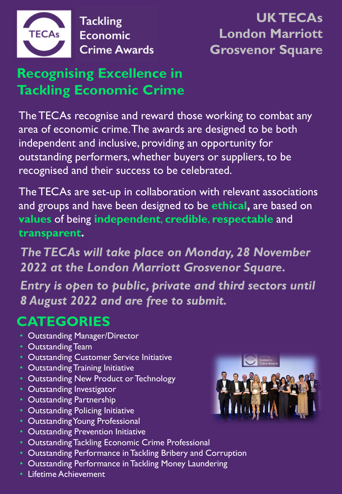

**Tackling Economic Crime Awards** 

## **UK TECAs London Marriott Grosvenor Square**

## **Recognising Excellence in Tackling Economic Crime**

The TECAs recognise and reward those working to combat any area of economic crime. The awards are designed to be both independent and inclusive, providing an opportunity for outstanding performers, whether buyers or suppliers, to be recognised and their success to be celebrated.

The TECAs are set-up in collaboration with relevant associations and groups and have been designed to be **ethical,** are based on **values** of being **independent**, **credible**, **respectable** and **transparent.**

*The TECAs will take place on Monday, 28 November 2022 at the London Marriott Grosvenor Square. Entry is open to public, private and third sectors until 8 August 2022 and are free to submit.*

## **CATEGORIES**

- Outstanding Manager/Director
- Outstanding Team
- Outstanding Customer Service Initiative
- Outstanding Training Initiative
- Outstanding New Product or Technology
- Outstanding Investigator
- Outstanding Partnership
- Outstanding Policing Initiative
- Outstanding Young Professional
- Outstanding Prevention Initiative
- Outstanding Tackling Economic Crime Professional
- Outstanding Performance in Tackling Bribery and Corruption
- Outstanding Performance in Tackling Money Laundering
- Lifetime Achievement